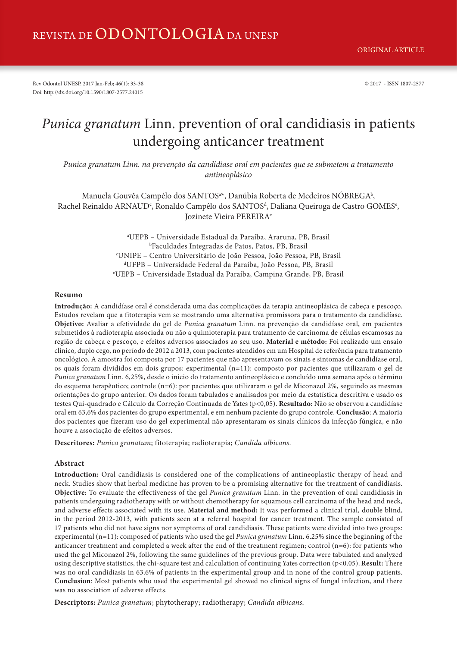## REVISTA DE ODONTOLOGIA DA UNESP

Rev Odontol UNESP. 2017 Jan-Feb; 46(1): 33-38 © 2017 - ISSN 1807-2577 Doi: http://dx.doi.org/10.1590/1807-2577.24015

# *Punica granatum* Linn. prevention of oral candidiasis in patients undergoing anticancer treatment

*Punica granatum Linn. na prevenção da candídiase oral em pacientes que se submetem a tratamento antineoplásico*

Manuela Gouvêa Campêlo dos SANTOS<sup>a\*</sup>, Danúbia Roberta de Medeiros NÓBREGA<sup>b</sup>, Rachel Reinaldo ARNAUD<sup>c</sup>, Ronaldo Campêlo dos SANTOS<sup>d</sup>, Daliana Queiroga de Castro GOMES<sup>e</sup>, Jozinete Vieira PEREIRAe

> a UEPB – Universidade Estadual da Paraíba, Araruna, PB, Brasil b Faculdades Integradas de Patos, Patos, PB, Brasil c UNIPE – Centro Universitário de João Pessoa, João Pessoa, PB, Brasil d UFPB – Universidade Federal da Paraíba, João Pessoa, PB, Brasil e UEPB – Universidade Estadual da Paraíba, Campina Grande, PB, Brasil

#### **Resumo**

**Introdução:** A candidíase oral é considerada uma das complicações da terapia antineoplásica de cabeça e pescoço. Estudos revelam que a fitoterapia vem se mostrando uma alternativa promissora para o tratamento da candidíase. **Objetivo:** Avaliar a efetividade do gel de *Punica granatum* Linn. na prevenção da candidíase oral, em pacientes submetidos à radioterapia associada ou não a quimioterapia para tratamento de carcinoma de células escamosas na região de cabeça e pescoço, e efeitos adversos associados ao seu uso. **Material e método:** Foi realizado um ensaio clínico, duplo cego, no período de 2012 a 2013, com pacientes atendidos em um Hospital de referência para tratamento oncológico. A amostra foi composta por 17 pacientes que não apresentavam os sinais e sintomas de candidíase oral, os quais foram divididos em dois grupos: experimental (n=11): composto por pacientes que utilizaram o gel de *Punica granatum* Linn. 6,25%, desde o inicio do tratamento antineoplásico e concluído uma semana após o término do esquema terapêutico; controle (n=6): por pacientes que utilizaram o gel de Miconazol 2%, seguindo as mesmas orientações do grupo anterior. Os dados foram tabulados e analisados por meio da estatística descritiva e usado os testes Qui-quadrado e Cálculo da Correção Continuada de Yates (p<0,05). **Resultado:** Não se observou a candidíase oral em 63,6% dos pacientes do grupo experimental, e em nenhum paciente do grupo controle. **Conclusão**: A maioria dos pacientes que fizeram uso do gel experimental não apresentaram os sinais clínicos da infecção fúngica, e não houve a associação de efeitos adversos.

**Descritores:** *Punica granatum*; fitoterapia; radioterapia; *Candida albicans*.

#### **Abstract**

**Introduction:** Oral candidiasis is considered one of the complications of antineoplastic therapy of head and neck. Studies show that herbal medicine has proven to be a promising alternative for the treatment of candidiasis. **Objective:** To evaluate the effectiveness of the gel *Punica granatum* Linn. in the prevention of oral candidiasis in patients undergoing radiotherapy with or without chemotherapy for squamous cell carcinoma of the head and neck, and adverse effects associated with its use. **Material and method:** It was performed a clinical trial, double blind, in the period 2012-2013, with patients seen at a referral hospital for cancer treatment. The sample consisted of 17 patients who did not have signs nor symptoms of oral candidiasis. These patients were divided into two groups: experimental (n=11): composed of patients who used the gel *Punica granatum* Linn. 6.25% since the beginning of the anticancer treatment and completed a week after the end of the treatment regimen; control (n=6): for patients who used the gel Miconazol 2%, following the same guidelines of the previous group. Data were tabulated and analyzed using descriptive statistics, the chi-square test and calculation of continuing Yates correction (p<0.05). **Result:** There was no oral candidiasis in 63.6% of patients in the experimental group and in none of the control group patients. **Conclusion**: Most patients who used the experimental gel showed no clinical signs of fungal infection, and there was no association of adverse effects.

**Descriptors:** *Punica granatum*; phytotherapy; radiotherapy; *Candida albicans*.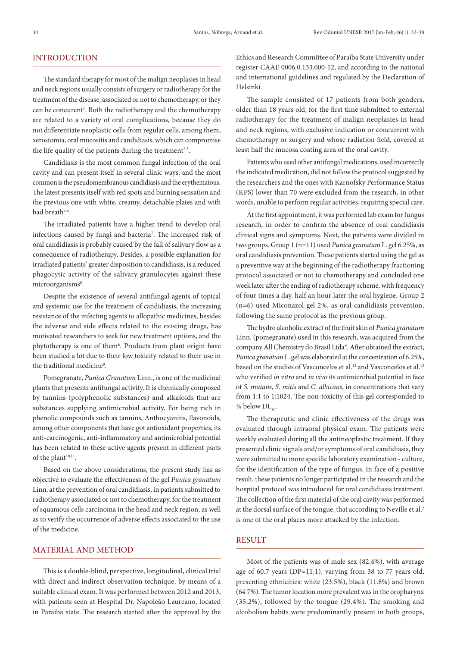#### INTRODUCTION

The standard therapy for most of the malign neoplasies in head and neck regions usually consists of surgery or radiotherapy for the treatment of the disease, associated or not to chemotherapy, or they can be concurent<sup>1</sup>. Both the radiotherapy and the chemotherapy are related to a variety of oral complications, because they do not differentiate neoplastic cells from regular cells, among them, xerostomia, oral mucositis and candidiasis, which can compromise the life quality of the patients during the treatment<sup>2,3</sup>.

Candidiasis is the most common fungal infection of the oral cavity and can present itself in several clinic ways, and the most common is the pseudomembranous candidiasis and the erythematous. The latest presents itself with red spots and burning sensation and the previous one with white, creamy, detachable plates and with bad breath<sup>4-6</sup>.

The irradiated patients have a higher trend to develop oral infections caused by fungi and bacteria<sup>7</sup>. The increased risk of oral candidiasis is probably caused by the fall of salivary flow as a consequence of radiotherapy. Besides, a possible explanation for irradiated patients' greater disposition to candidiasis, is a reduced phagocytic activity of the salivary granulocytes against these microorganisms<sup>8</sup>.

Despite the existence of several antifungal agents of topical and systemic use for the treatment of candidiasis, the increasing resistance of the infecting agents to allopathic medicines, besides the adverse and side effects related to the existing drugs, has motivated researchers to seek for new treatment options, and the phytotherapy is one of them<sup>6</sup>. Products from plant origin have been studied a lot due to their low toxicity related to their use in the traditional medicine<sup>9</sup>.

Pomegranate, *Punica Granatum* Linn., is one of the medicinal plants that presents antifungal activity. It is chemically composed by tannins (polyphenolic substances) and alkaloids that are substances supplying antimicrobial activity. For being rich in phenolic compounds such as tannins, Anthocyanins, flavonoids, among other components that have got antioxidant properties, its anti-carcinogenic, anti-inflammatory and antimicrobial potential has been related to these active agents present in different parts of the plant<sup>10,11</sup>.

Based on the above considerations, the present study has as objective to evaluate the effectiveness of the gel *Punica granatum* Linn. at the prevention of oral candidiasis, in patients submitted to radiotherapy associated or not to chemotherapy, for the treatment of squamous cells carcinoma in the head and neck region, as well as to verify the occurrence of adverse effects associated to the use of the medicine.

## MATERIAL AND METHOD

This is a double-blind, perspective, longitudinal, clinical trial with direct and indirect observation technique, by means of a suitable clinical exam. It was performed between 2012 and 2013, with patients seen at Hospital Dr. Napoleão Laureano, located in Paraiba state. The research started after the approval by the Ethics and Research Committee of Paraíba State University under register CAAE 0006.0.133.000-12, and according to the national and international guidelines and regulated by the Declaration of Helsinki.

The sample consisted of 17 patients from both genders, older than 18 years old, for the first time submitted to external radiotherapy for the treatment of malign neoplasies in head and neck regions, with exclusive indication or concurrent with chemotherapy or surgery and whose radiation field, covered at least half the mucosa coating area of the oral cavity.

Patients who used other antifungal medications, used incorrectly the indicated medication, did not follow the protocol suggested by the researchers and the ones with Karnofsky Performance Status (KPS) lower than 70 were excluded from the research, in other words, unable to perform regular activities, requiring special care.

At the first appointment, it was performed lab exam for fungus research, in order to confirm the absence of oral candidiasis clinical signs and symptoms. Next, the patients were divided in two groups. Group 1 (n=11) used *Punica granatum* L. gel 6.25%, as oral candidiasis prevention. These patients started using the gel as a preventive way at the beginning of the radiotherapy fractioning protocol associated or not to chemotherapy and concluded one week later after the ending of radiotherapy scheme, with frequency of four times a day, half an hour later the oral hygiene. Group 2 (n=6) used Miconazol gel 2%, as oral candidiasis prevention, following the same protocol as the previous group.

The hydro alcoholic extract of the fruit skin of *Punica granatum* Linn. (pomegranate) used in this research, was acquired from the company All Chemistry do Brasil Ltda®. After obtained the extract, *Punica granatum* L. gel was elaborated at the concentration of 6.25%, based on the studies of Vasconcelos et al.<sup>12</sup> and Vasconcelos et al.<sup>13</sup> who verified *in vitro* and *in vivo* its antimicrobial potential in face of *S. mutans, S. mitis* and *C. albicans*, in concentrations that vary from 1:1 to 1:1024. The non-toxicity of this gel corresponded to  $\frac{1}{4}$  below DL<sub>50</sub>.

The therapeutic and clinic effectiveness of the drugs was evaluated through intraoral physical exam. The patients were weekly evaluated during all the antineoplastic treatment. If they presented clinic signals and/or symptoms of oral candidiasis, they were submitted to more specific laboratory examination - culture, for the identification of the type of fungus. In face of a positive result, these patients no longer participated in the research and the hospital protocol was introduced for oral candidiasis treatment. The collection of the first material of the oral cavity was performed at the dorsal surface of the tongue, that according to Neville et al.<sup>2</sup> is one of the oral places more attacked by the infection.

### **RESULT**

Most of the patients was of male sex (82.4%), with average age of 60.7 years (DP=11.1), varying from 38 to 77 years old, presenting ethnicities: white (23.5%), black (11.8%) and brown (64.7%). The tumor location more prevalent was in the oropharynx (35.2%), followed by the tongue (29.4%). The smoking and alcoholism habits were predominantly present in both groups,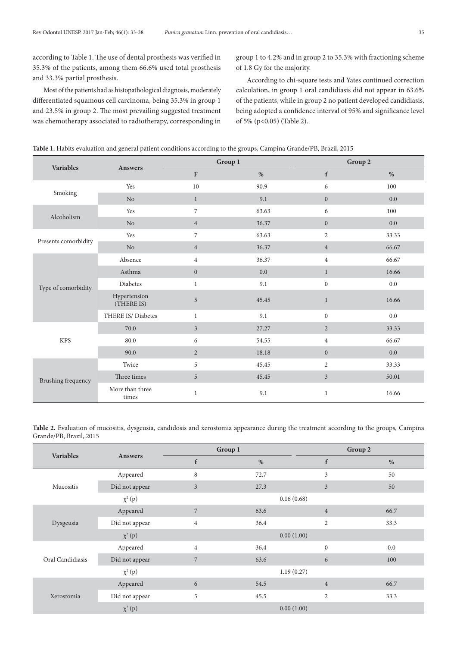according to Table 1. The use of dental prosthesis was verified in 35.3% of the patients, among them 66.6% used total prosthesis and 33.3% partial prosthesis.

Most of the patients had as histopathological diagnosis, moderately differentiated squamous cell carcinoma, being 35.3% in group 1 and 23.5% in group 2. The most prevailing suggested treatment was chemotherapy associated to radiotherapy, corresponding in

group 1 to 4.2% and in group 2 to 35.3% with fractioning scheme of 1.8 Gy for the majority.

According to chi-square tests and Yates continued correction calculation, in group 1 oral candidiasis did not appear in 63.6% of the patients, while in group 2 no patient developed candidiasis, being adopted a confidence interval of 95% and significance level of 5% (p<0.05) (Table 2).

| Table 1. Habits evaluation and general patient conditions according to the groups, Campina Grande/PB, Brazil, 2015 |  |  |  |  |  |  |
|--------------------------------------------------------------------------------------------------------------------|--|--|--|--|--|--|
|--------------------------------------------------------------------------------------------------------------------|--|--|--|--|--|--|

| <b>Variables</b>     | <b>Answers</b>             |                | Group 1 | Group 2          |         |  |
|----------------------|----------------------------|----------------|---------|------------------|---------|--|
|                      |                            | F              | $\%$    | $\mathbf f$      | $\%$    |  |
| Smoking              | Yes                        | 10             | 90.9    | 6                | 100     |  |
|                      | N <sub>o</sub>             | $\mathbf{1}$   | 9.1     | $\mathbf{0}$     | 0.0     |  |
| Alcoholism           | Yes                        | 7              | 63.63   | 6                | 100     |  |
|                      | N <sub>o</sub>             | $\overline{4}$ | 36.37   | $\mathbf{0}$     | 0.0     |  |
| Presents comorbidity | Yes                        | 7              | 63.63   | $\overline{2}$   | 33.33   |  |
|                      | N <sub>o</sub>             | $\overline{4}$ | 36.37   | $\overline{4}$   | 66.67   |  |
| Type of comorbidity  | Absence                    | $\overline{4}$ | 36.37   | $\overline{4}$   | 66.67   |  |
|                      | Asthma                     | $\mathbf{0}$   | 0.0     | $\mathbf{1}$     | 16.66   |  |
|                      | Diabetes                   | 1              | 9.1     | $\boldsymbol{0}$ | $0.0\,$ |  |
|                      | Hypertension<br>(THERE IS) | 5              | 45.45   | $\mathbf{1}$     | 16.66   |  |
|                      | THERE IS/Diabetes          | $\mathbf{1}$   | 9.1     | $\boldsymbol{0}$ | 0.0     |  |
| <b>KPS</b>           | 70.0                       | $\mathfrak{Z}$ | 27.27   | $\overline{2}$   | 33.33   |  |
|                      | 80.0                       | 6              | 54.55   | $\overline{4}$   | 66.67   |  |
|                      | 90.0                       | $\overline{2}$ | 18.18   | $\overline{0}$   | 0.0     |  |
| Brushing frequency   | Twice                      | 5              | 45.45   | $\sqrt{2}$       | 33.33   |  |
|                      | Three times                | 5              | 45.45   | $\mathfrak{Z}$   | 50.01   |  |
|                      | More than three<br>times   | 1              | 9.1     | 1                | 16.66   |  |

**Table 2.** Evaluation of mucositis, dysgeusia, candidosis and xerostomia appearance during the treatment according to the groups, Campina Grande/PB, Brazil, 2015

| <b>Variables</b> | <b>Answers</b> | Group 1        |            | Group 2        |      |
|------------------|----------------|----------------|------------|----------------|------|
|                  |                | f              | $\%$       | f              | $\%$ |
| Mucositis        | Appeared       | 8              | 72.7       | 3              | 50   |
|                  | Did not appear | $\overline{3}$ | 27.3       | $\overline{3}$ | 50   |
|                  | $\chi^2(p)$    | 0.16(0.68)     |            |                |      |
| Dysgeusia        | Appeared       | $\overline{7}$ | 63.6       | $\overline{4}$ | 66.7 |
|                  | Did not appear | $\overline{4}$ | 36.4       | $\overline{2}$ | 33.3 |
|                  | $\chi^2(p)$    | 0.00(1.00)     |            |                |      |
| Oral Candidiasis | Appeared       | $\overline{4}$ | 36.4       | $\mathbf{0}$   | 0.0  |
|                  | Did not appear | $\overline{7}$ | 63.6       | 6              | 100  |
|                  | $\chi^2(p)$    | 1.19(0.27)     |            |                |      |
| Xerostomia       | Appeared       | 6              | 54.5       | $\overline{4}$ | 66.7 |
|                  | Did not appear | 5              | 45.5       | $\mathfrak{2}$ | 33.3 |
|                  | $\chi^2(p)$    |                | 0.00(1.00) |                |      |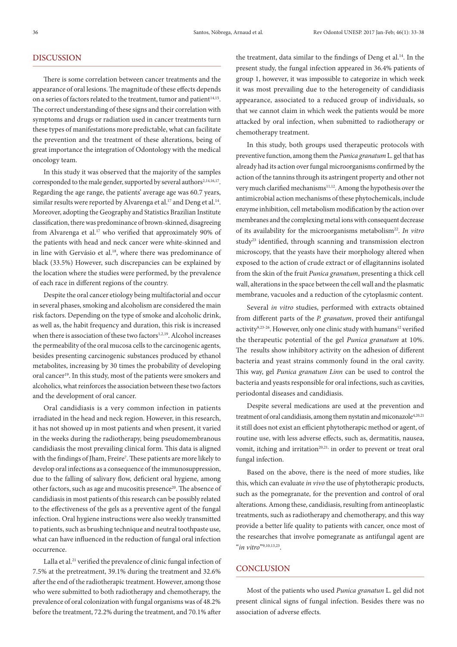### DISCUSSION

There is some correlation between cancer treatments and the appearance of oral lesions. The magnitude of these effects depends on a series of factors related to the treatment, tumor and patient $14,15$ . The correct understanding of these signs and their correlation with symptoms and drugs or radiation used in cancer treatments turn these types of manifestations more predictable, what can facilitate the prevention and the treatment of these alterations, being of great importance the integration of Odontology with the medical oncology team.

In this study it was observed that the majority of the samples corresponded to the male gender, supported by several authors<sup>2,14,16,17</sup>. Regarding the age range, the patients' average age was 60.7 years, similar results were reported by Alvarenga et al.<sup>17</sup> and Deng et al.<sup>14</sup>. Moreover, adopting the Geography and Statistics Brazilian Institute classification, there was predominance of brown-skinned, disagreeing from Alvarenga et al.<sup>17</sup> who verified that approximately 90% of the patients with head and neck cancer were white-skinned and in line with Gervásio et al.<sup>18</sup>, where there was predominance of black (33.5%) However, such discrepancies can be explained by the location where the studies were performed, by the prevalence of each race in different regions of the country.

Despite the oral cancer etiology being multifactorial and occur in several phases, smoking and alcoholism are considered the main risk factors. Depending on the type of smoke and alcoholic drink, as well as, the habit frequency and duration, this risk is increased when there is association of these two factors<sup>1,2,19</sup>. Alcohol increases the permeability of the oral mucosa cells to the carcinogenic agents, besides presenting carcinogenic substances produced by ethanol metabolites, increasing by 30 times the probability of developing oral cancer<sup>19</sup>. In this study, most of the patients were smokers and alcoholics, what reinforces the association between these two factors and the development of oral cancer.

Oral candidiasis is a very common infection in patients irradiated in the head and neck region. However, in this research, it has not showed up in most patients and when present, it varied in the weeks during the radiotherapy, being pseudomembranous candidiasis the most prevailing clinical form. This data is aligned with the findings of Jham, Freire<sup>7</sup>. These patients are more likely to develop oral infections as a consequence of the immunosuppression, due to the falling of salivary flow, deficient oral hygiene, among other factors, such as age and mucositis presence<sup>20</sup>. The absence of candidiasis in most patients of this research can be possibly related to the effectiveness of the gels as a preventive agent of the fungal infection. Oral hygiene instructions were also weekly transmitted to patients, such as brushing technique and neutral toothpaste use, what can have influenced in the reduction of fungal oral infection occurrence.

Lalla et al.<sup>21</sup> verified the prevalence of clinic fungal infection of 7.5% at the pretreatment, 39.1% during the treatment and 32.6% after the end of the radiotherapic treatment. However, among those who were submitted to both radiotherapy and chemotherapy, the prevalence of oral colonization with fungal organisms was of 48.2% before the treatment, 72.2% during the treatment, and 70.1% after

the treatment, data similar to the findings of Deng et al.<sup>14</sup>. In the present study, the fungal infection appeared in 36.4% patients of group 1, however, it was impossible to categorize in which week it was most prevailing due to the heterogeneity of candidiasis appearance, associated to a reduced group of individuals, so that we cannot claim in which week the patients would be more attacked by oral infection, when submitted to radiotherapy or chemotherapy treatment.

In this study, both groups used therapeutic protocols with preventive function, among them the *Punica granatum* L. gel that has already had its action over fungal microorganisms confirmed by the action of the tannins through its astringent property and other not very much clarified mechanisms<sup>11,12</sup>. Among the hypothesis over the antimicrobial action mechanisms of these phytochemicals, include enzyme inhibition, cell metabolism modification by the action over membranes and the complexing metal ions with consequent decrease of its availability for the microorganisms metabolism<sup>22</sup>. In vitro study<sup>23</sup> identified, through scanning and transmission electron microscopy, that the yeasts have their morphology altered when exposed to the action of crude extract or of ellagitannins isolated from the skin of the fruit *Punica granatum*, presenting a thick cell wall, alterations in the space between the cell wall and the plasmatic membrane, vacuoles and a reduction of the cytoplasmic content.

Several *in vitro* studies, performed with extracts obtained from different parts of the *P. granatum*, proved their antifungal activity<sup>9,23-26</sup>. However, only one clinic study with humans<sup>12</sup> verified the therapeutic potential of the gel *Punica granatum* at 10%. The results show inhibitory activity on the adhesion of different bacteria and yeast strains commonly found in the oral cavity. This way, gel *Punica granatum Linn* can be used to control the bacteria and yeasts responsible for oral infections, such as cavities, periodontal diseases and candidiasis.

Despite several medications are used at the prevention and treatment of oral candidiasis, among them nystatin and miconazole<sup>4,20,21</sup> it still does not exist an efficient phytotherapic method or agent, of routine use, with less adverse effects, such as, dermatitis, nausea, vomit, itching and irritation<sup>20,21,</sup> in order to prevent or treat oral fungal infection.

Based on the above, there is the need of more studies, like this, which can evaluate *in vivo* the use of phytotherapic products, such as the pomegranate, for the prevention and control of oral alterations. Among these, candidiasis, resulting from antineoplastic treatments, such as radiotherapy and chemotherapy, and this way provide a better life quality to patients with cancer, once most of the researches that involve pomegranate as antifungal agent are "*in vitro*"9,10,13,23.

## **CONCLUSION**

Most of the patients who used *Punica granatun* L. gel did not present clinical signs of fungal infection. Besides there was no association of adverse effects.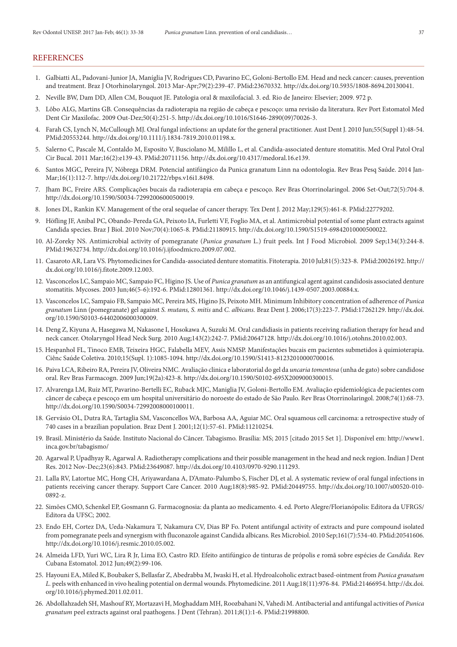#### **REFERENCES**

- 1. Galbiatti AL, Padovani-Junior JA, Maníglia JV, Rodrigues CD, Pavarino EC, Goloni-Bertollo EM. Head and neck cancer: causes, prevention and treatment. Braz J Otorhinolaryngol. 2013 Mar-Apr;79(2):239-47. [PMid:23670332.](http://www.ncbi.nlm.nih.gov/entrez/query.fcgi?cmd=Retrieve&db=PubMed&list_uids=23670332&dopt=Abstract) <http://dx.doi.org/10.5935/1808-8694.20130041>.
- 2. Neville BW, Dam DD, Allen CM, Bouquot JE. Patologia oral & maxilofacial. 3. ed. Rio de Janeiro: Elsevier; 2009. 972 p.
- 3. Lôbo ALG, Martins GB. Consequências da radioterapia na região de cabeça e pescoço: uma revisão da literatura. Rev Port Estomatol Med Dent Cir Maxilofac. 2009 Out-Dez;50(4):251-5. http://dx.doi.org/10.1016/S1646-2890(09)70026-3.
- 4. Farah CS, Lynch N, McCullough MJ. Oral fungal infections: an update for the general practitioner. Aust Dent J. 2010 Jun;55(Suppl 1):48-54. [PMid:20553244.](http://www.ncbi.nlm.nih.gov/entrez/query.fcgi?cmd=Retrieve&db=PubMed&list_uids=20553244&dopt=Abstract) <http://dx.doi.org/10.1111/j.1834-7819.2010.01198.x>.
- 5. Salerno C, Pascale M, Contaldo M, Esposito V, Busciolano M, Milillo L, et al. Candida-associated denture stomatitis. Med Oral Patol Oral Cir Bucal. 2011 Mar;16(2):e139-43[. PMid:20711156.](http://www.ncbi.nlm.nih.gov/entrez/query.fcgi?cmd=Retrieve&db=PubMed&list_uids=20711156&dopt=Abstract) [http://dx.doi.org/10.4317/medoral.16.e139.](http://dx.doi.org/10.4317/medoral.16.e139)
- 6. Santos MGC, Pereira JV, Nóbrega DRM. Potencial antifúngico da Punica granatum Linn na odontologia. Rev Bras Pesq Saúde. 2014 Jan-Mar;16(1):112-7. http://dx.doi.org/10.21722/rbps.v16i1.8498.
- 7. Jham BC, Freire ARS. Complicações bucais da radioterapia em cabeça e pescoço. Rev Bras Otorrinolaringol. 2006 Set-Out;72(5):704-8. [http://dx.doi.org/10.1590/S0034-72992006000500019.](http://dx.doi.org/10.1590/S0034-72992006000500019)
- 8. Jones DL, Rankin KV. Management of the oral sequelae of cancer therapy. Tex Dent J. 2012 May;129(5):461-8. [PMid:22779202.](http://www.ncbi.nlm.nih.gov/entrez/query.fcgi?cmd=Retrieve&db=PubMed&list_uids=22779202&dopt=Abstract)
- 9. Höfling JF, Anibal PC, Obando-Pereda GA, Peixoto IA, Furletti VF, Foglio MA, et al. Antimicrobial potential of some plant extracts against Candida species. Braz J Biol. 2010 Nov;70(4):1065-8[. PMid:21180915.](http://www.ncbi.nlm.nih.gov/entrez/query.fcgi?cmd=Retrieve&db=PubMed&list_uids=21180915&dopt=Abstract) [http://dx.doi.org/10.1590/S1519-69842010000500022.](http://dx.doi.org/10.1590/S1519-69842010000500022)
- 10. Al-Zoreky NS. Antimicrobial activity of pomegranate (*Punica granatum* L.) fruit peels. Int J Food Microbiol. 2009 Sep;134(3):244-8. [PMid:19632734.](http://www.ncbi.nlm.nih.gov/entrez/query.fcgi?cmd=Retrieve&db=PubMed&list_uids=19632734&dopt=Abstract) <http://dx.doi.org/10.1016/j.ijfoodmicro.2009.07.002>.
- 11. CasarotoAR, Lara VS. Phytomedicines for Candida-associated denture stomatitis. Fitoterapia. 2010 Jul;81(5):323-8. [PMid:20026192.](http://www.ncbi.nlm.nih.gov/entrez/query.fcgi?cmd=Retrieve&db=PubMed&list_uids=20026192&dopt=Abstract) [http://](http://dx.doi.org/10.1016/j.fitote.2009.12.003) [dx.doi.org/10.1016/j.fitote.2009.12.003](http://dx.doi.org/10.1016/j.fitote.2009.12.003).
- 12. Vasconcelos LC, Sampaio MC, Sampaio FC, Higino JS. Use of *Punica granatum* as an antifungical agent against candidosis associated denture stomatitis. Mycoses. 2003 Jun;46(5-6):192-6. [PMid:12801361.](http://www.ncbi.nlm.nih.gov/entrez/query.fcgi?cmd=Retrieve&db=PubMed&list_uids=12801361&dopt=Abstract) <http://dx.doi.org/10.1046/j.1439-0507.2003.00884.x>.
- 13. Vasconcelos LC, Sampaio FB, Sampaio MC, Pereira MS, Higino JS, Peixoto MH. Minimum Inhibitory concentration of adherence of *Punica granatum* Linn (pomegranate) gel against *S. mutans, S. mitis* and *C. albicans.* Braz Dent J. 2006;17(3):223-7. [PMid:17262129.](http://www.ncbi.nlm.nih.gov/entrez/query.fcgi?cmd=Retrieve&db=PubMed&list_uids=17262129&dopt=Abstract) [http://dx.doi.](http://dx.doi.org/10.1590/S0103-64402006000300009) [org/10.1590/S0103-64402006000300009.](http://dx.doi.org/10.1590/S0103-64402006000300009)
- 14. Deng Z, Kiyuna A, Hasegawa M, Nakasone I, Hosokawa A, Suzuki M. Oral candidiasis in patients receiving radiation therapy for head and neck cancer. Otolaryngol Head Neck Surg. 2010 Aug;143(2):242-7[. PMid:20647128.](http://www.ncbi.nlm.nih.gov/entrez/query.fcgi?cmd=Retrieve&db=PubMed&list_uids=20647128&dopt=Abstract) <http://dx.doi.org/10.1016/j.otohns.2010.02.003>.
- 15. Hespanhol FL, Tinoco EMB, Teixeira HGC, Falabella MEV, Assis NMSP. Manifestações bucais em pacientes submetidos à quimioterapia. Ciênc Saúde Coletiva. 2010;15(Supl. 1):1085-1094. http://dx.doi.org/10.1590/S1413-81232010000700016.
- 16. Paiva LCA, Ribeiro RA, Pereira JV, Oliveira NMC. Avaliação clinica e laboratorial do gel da *uncaria tomentosa* (unha de gato) sobre candidose oral. Rev Bras Farmacogn. 2009 Jun;19(2a):423-8. [http://dx.doi.org/10.1590/S0102-695X2009000300015.](http://dx.doi.org/10.1590/S0102-695X2009000300015)
- 17. Alvarenga LM, Ruiz MT, Pavarino-Bertelli EC, Ruback MJC, Maniglia JV, Goloni-Bertollo EM. Avaliação epidemiológica de pacientes com câncer de cabeça e pescoço em um hospital universitário do noroeste do estado de São Paulo. Rev Bras Otorrinolaringol. 2008;74(1):68-73. [http://dx.doi.org/10.1590/S0034-72992008000100011.](http://dx.doi.org/10.1590/S0034-72992008000100011)
- 18. Gervásio OL, Dutra RA, Tartaglia SM, Vasconcellos WA, Barbosa AA, Aguiar MC. Oral squamous cell carcinoma: a retrospective study of 740 cases in a brazilian population. Braz Dent J. 2001;12(1):57-61[. PMid:11210254.](http://www.ncbi.nlm.nih.gov/entrez/query.fcgi?cmd=Retrieve&db=PubMed&list_uids=11210254&dopt=Abstract)
- 19. Brasil. Ministério da Saúde. Instituto Nacional do Câncer. Tabagismo. Brasília: MS; 2015 [citado 2015 Set 1]. Disponível em: http://www1. inca.gov.br/tabagismo/
- 20. Agarwal P, Upadhyay R, Agarwal A. Radiotherapy complications and their possible management in the head and neck region. Indian J Dent Res. 2012 Nov-Dec;23(6):843. [PMid:23649087.](http://www.ncbi.nlm.nih.gov/entrez/query.fcgi?cmd=Retrieve&db=PubMed&list_uids=23649087&dopt=Abstract) [http://dx.doi.org/10.4103/0970-9290.111293.](http://dx.doi.org/10.4103/0970-9290.111293)
- 21. Lalla RV, Latortue MC, Hong CH, Ariyawardana A, D'Amato-Palumbo S, Fischer DJ, et al. A systematic review of oral fungal infections in patients receiving cancer therapy. Support Care Cancer. 2010 Aug;18(8):985-92. [PMid:20449755.](http://www.ncbi.nlm.nih.gov/entrez/query.fcgi?cmd=Retrieve&db=PubMed&list_uids=20449755&dopt=Abstract) [http://dx.doi.org/10.1007/s00520-010-](http://dx.doi.org/10.1007/s00520-010-0892-z) [0892-z.](http://dx.doi.org/10.1007/s00520-010-0892-z)
- 22. Simões CMO, Schenkel EP, Gosmann G. Farmacognosia: da planta ao medicamento. 4. ed. Porto Alegre/Florianópolis: Editora da UFRGS/ Editora da UFSC; 2002.
- 23. Endo EH, Cortez DA, Ueda-Nakamura T, Nakamura CV, Dias BP Fo. Potent antifungal activity of extracts and pure compound isolated from pomegranate peels and synergism with fluconazole against Candida albicans. Res Microbiol. 2010 Sep;161(7):534-40[. PMid:20541606.](http://www.ncbi.nlm.nih.gov/entrez/query.fcgi?cmd=Retrieve&db=PubMed&list_uids=20541606&dopt=Abstract) <http://dx.doi.org/10.1016/j.resmic.2010.05.002>.
- 24. Almeida LFD, Yuri WC, Lira R Jr, Lima EO, Castro RD. Efeito antifúngico de tinturas de própolis e romã sobre espécies de *Candida.* Rev Cubana Estomatol. 2012 Jun;49(2):99-106.
- 25. Hayouni EA, Miled K, Boubaker S, Bellasfar Z, Abedrabba M, Iwaski H, et al. Hydroalcoholic extract based-ointment from *Punica granatum L.* peels with enhanced in vivo healing potential on dermal wounds. Phytomedicine. 2011Aug;18(11):976-84. [PMid:21466954.](http://www.ncbi.nlm.nih.gov/entrez/query.fcgi?cmd=Retrieve&db=PubMed&list_uids=21466954&dopt=Abstract) [http://dx.doi.](http://dx.doi.org/10.1016/j.phymed.2011.02.011) [org/10.1016/j.phymed.2011.02.011](http://dx.doi.org/10.1016/j.phymed.2011.02.011).
- 26. Abdollahzadeh SH, Mashouf RY, Mortazavi H, Moghaddam MH, Roozbahani N, Vahedi M. Antibacterial and antifungal activities of *Punica granatum* peel extracts against oral paathogens. J Dent (Tehran). 2011;8(1):1-6[. PMid:21998800.](http://www.ncbi.nlm.nih.gov/entrez/query.fcgi?cmd=Retrieve&db=PubMed&list_uids=21998800&dopt=Abstract)